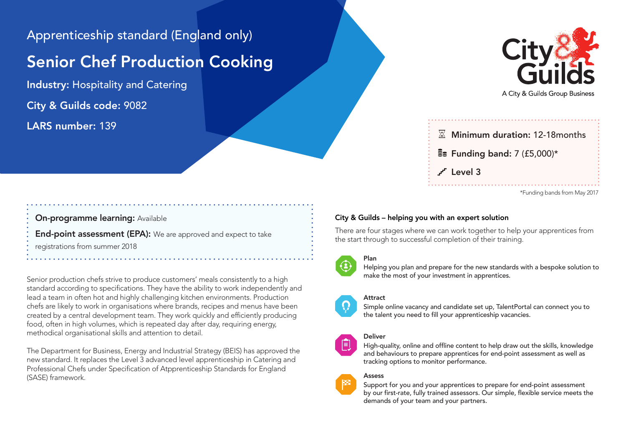Apprenticeship standard (England only)

## Senior Chef Production Cooking

Industry: Hospitality and Catering City & Guilds code: 9082 LARS number: 139



A City & Guilds Group Business

# $\overline{\mathbb{X}}$  Minimum duration: 12-18 months  $\frac{2}{3}$  Funding band: 7 (£5,000)\*  $\mathcal{L}$  level 3

\*Funding bands from May 2017

### On-programme learning: Available

End-point assessment (EPA): We are approved and expect to take

registrations from summer 2018

Senior production chefs strive to produce customers' meals consistently to a high standard according to specifications. They have the ability to work independently and lead a team in often hot and highly challenging kitchen environments. Production chefs are likely to work in organisations where brands, recipes and menus have been created by a central development team. They work quickly and efficiently producing food, often in high volumes, which is repeated day after day, requiring energy, methodical organisational skills and attention to detail.

The Department for Business, Energy and Industrial Strategy (BEIS) has approved the new standard. It replaces the Level 3 advanced level apprenticeship in Catering and Professional Chefs under Specification of Atpprenticeship Standards for England (SASE) framework.

### City & Guilds – helping you with an expert solution

There are four stages where we can work together to help your apprentices from the start through to successful completion of their training.



Ħ

#### Plan

Helping you plan and prepare for the new standards with a bespoke solution to make the most of your investment in apprentices.

#### Attract

Simple online vacancy and candidate set up, TalentPortal can connect you to the talent you need to fill your apprenticeship vacancies.

#### Deliver

High-quality, online and offline content to help draw out the skills, knowledge and behaviours to prepare apprentices for end-point assessment as well as tracking options to monitor performance.

#### Assess

Support for you and your apprentices to prepare for end-point assessment by our first-rate, fully trained assessors. Our simple, flexible service meets the demands of your team and your partners.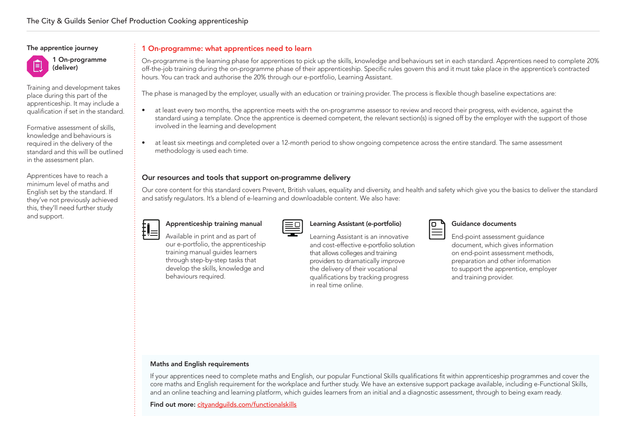#### The apprentice journey



Training and development takes place during this part of the apprenticeship. It may include a qualification if set in the standard.

Formative assessment of skills, knowledge and behaviours is required in the delivery of the standard and this will be outlined in the assessment plan.

Apprentices have to reach a minimum level of maths and English set by the standard. If they've not previously achieved this, they'll need further study and support.

#### 1 On-programme: what apprentices need to learn

On-programme is the learning phase for apprentices to pick up the skills, knowledge and behaviours set in each standard. Apprentices need to complete 20% off-the-job training during the on-programme phase of their apprenticeship. Specific rules govern this and it must take place in the apprentice's contracted hours. You can track and authorise the 20% through our e-portfolio, Learning Assistant.

The phase is managed by the employer, usually with an education or training provider. The process is flexible though baseline expectations are:

- at least every two months, the apprentice meets with the on-programme assessor to review and record their progress, with evidence, against the standard using a template. Once the apprentice is deemed competent, the relevant section(s) is signed off by the employer with the support of those involved in the learning and development
- at least six meetings and completed over a 12-month period to show ongoing competence across the entire standard. The same assessment methodology is used each time.

#### Our resources and tools that support on-programme delivery

Our core content for this standard covers Prevent, British values, equality and diversity, and health and safety which give you the basics to deliver the standard and satisfy regulators. It's a blend of e-learning and downloadable content. We also have:



### Apprenticeship training manual

training manual guides learners through step-by-step tasks that develop the skills, knowledge and

behaviours required.

| Apprenticesing training manual    |  |
|-----------------------------------|--|
| Available in print and as part of |  |

#### Learning Assistant (e-portfolio)

Learning Assistant is an innovative and cost-effective e-portfolio solution that allows colleges and training providers to dramatically improve the delivery of their vocational qualifications by tracking progress in real time online.

| ___ |
|-----|
| ×   |
|     |

#### Guidance documents

End-point assessment guidance document, which gives information on end-point assessment methods, preparation and other information to support the apprentice, employer and training provider.

#### Maths and English requirements

If your apprentices need to complete maths and English, our popular Functional Skills qualifications fit within apprenticeship programmes and cover the core maths and English requirement for the workplace and further study. We have an extensive support package available, including e-Functional Skills, and an online teaching and learning platform, which guides learners from an initial and a diagnostic assessment, through to being exam ready.

Find out more: cityandguilds.com/functionalskills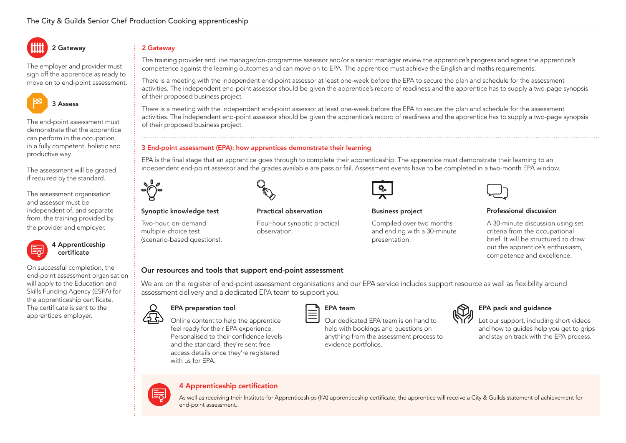The employer and provider must sign off the apprentice as ready to move on to end-point assessment.

2 Gateway



The end-point assessment must demonstrate that the apprentice can perform in the occupation in a fully competent, holistic and productive way.

The assessment will be graded if required by the standard.

The assessment organisation and assessor must be independent of, and separate from, the training provided by the provider and employer.



apprentice's employer.

On successful completion, the end-point assessment organisation will apply to the Education and Skills Funding Agency (ESFA) for the apprenticeship certificate. The certificate is sent to the

2 Gateway

The training provider and line manager/on-programme assessor and/or a senior manager review the apprentice's progress and agree the apprentice's competence against the learning outcomes and can move on to EPA. The apprentice must achieve the English and maths requirements.

There is a meeting with the independent end-point assessor at least one-week before the EPA to secure the plan and schedule for the assessment activities. The independent end-point assessor should be given the apprentice's record of readiness and the apprentice has to supply a two-page synopsis of their proposed business project.

There is a meeting with the independent end-point assessor at least one-week before the EPA to secure the plan and schedule for the assessment activities. The independent end-point assessor should be given the apprentice's record of readiness and the apprentice has to supply a two-page synopsis of their proposed business project.

#### 3 End-point assessment (EPA): how apprentices demonstrate their learning

EPA is the final stage that an apprentice goes through to complete their apprenticeship. The apprentice must demonstrate their learning to an independent end-point assessor and the grades available are pass or fail. Assessment events have to be completed in a two-month EPA window.



#### Synoptic knowledge test

Two-hour, on-demand multiple-choice test (scenario-based questions).



#### Practical observation

Four-hour synoptic practical observation.

#### Business project

Compiled over two months and ending with a 30-minute presentation.

#### Professional discussion

A 30-minute discussion using set criteria from the occupational brief. It will be structured to draw out the apprentice's enthusiasm, competence and excellence.

#### Our resources and tools that support end-point assessment

We are on the register of end-point assessment organisations and our EPA service includes support resource as well as flexibility around assessment delivery and a dedicated EPA team to support you.



#### EPA preparation tool

with us for EPA.

Online content to help the apprentice feel ready for their EPA experience. Personalised to their confidence levels and the standard, they're sent free access details once they're registered

#### EPA team

Our dedicated EPA team is on hand to help with bookings and questions on anything from the assessment process to evidence portfolios.



Let our support, including short videos

and how to guides help you get to grips and stay on track with the EPA process.

#### 4 Apprenticeship certification

As well as receiving their Institute for Apprenticeships (IfA) apprenticeship certificate, the apprentice will receive a City & Guilds statement of achievement for end-point assessment.